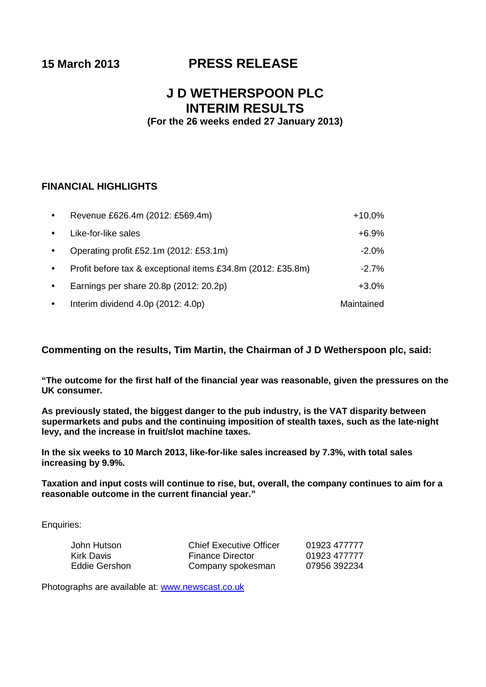# **15 March 2013 PRESS RELEASE**

# **J D WETHERSPOON PLC INTERIM RESULTS**

**(For the 26 weeks ended 27 January 2013)**

# **FINANCIAL HIGHLIGHTS**

| $\bullet$ | Revenue £626.4m (2012: £569.4m)                             | $+10.0%$   |
|-----------|-------------------------------------------------------------|------------|
| $\bullet$ | Like-for-like sales                                         | $+6.9%$    |
| $\bullet$ | Operating profit £52.1m (2012: £53.1m)                      | $-2.0%$    |
| $\bullet$ | Profit before tax & exceptional items £34.8m (2012: £35.8m) | $-2.7\%$   |
| $\bullet$ | Earnings per share 20.8p (2012: 20.2p)                      | $+3.0\%$   |
| $\bullet$ | Interim dividend 4.0p (2012: 4.0p)                          | Maintained |

**Commenting on the results, Tim Martin, the Chairman of J D Wetherspoon plc, said:**

**"The outcome for the first half of the financial year was reasonable, given the pressures on the UK consumer.** 

**As previously stated, the biggest danger to the pub industry, is the VAT disparity between supermarkets and pubs and the continuing imposition of stealth taxes, such as the late-night levy, and the increase in fruit/slot machine taxes.**

**In the six weeks to 10 March 2013, like-for-like sales increased by 7.3%, with total sales increasing by 9.9%.** 

**Taxation and input costs will continue to rise, but, overall, the company continues to aim for a reasonable outcome in the current financial year."**

Enquiries:

| John Hutson   | <b>Chief Executive Officer</b> | 01923 477777 |
|---------------|--------------------------------|--------------|
| Kirk Davis    | <b>Finance Director</b>        | 01923 477777 |
| Eddie Gershon | Company spokesman              | 07956 392234 |

Photographs are available at: [www.newscast.co.uk](http://www.newscast.co.uk/)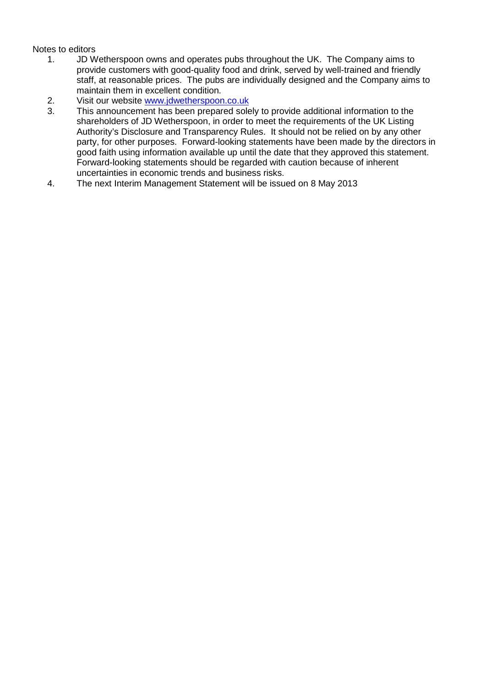# Notes to editors<br>1. JD W

- 1. JD Wetherspoon owns and operates pubs throughout the UK. The Company aims to provide customers with good-quality food and drink, served by well-trained and friendly staff, at reasonable prices. The pubs are individually designed and the Company aims to maintain them in excellent condition.
- 2. Visit our website [www.jdwetherspoon.co.uk](http://www.jdwetherspoon.co.uk/)
- 3. This announcement has been prepared solely to provide additional information to the shareholders of JD Wetherspoon, in order to meet the requirements of the UK Listing Authority's Disclosure and Transparency Rules. It should not be relied on by any other party, for other purposes. Forward-looking statements have been made by the directors in good faith using information available up until the date that they approved this statement. Forward-looking statements should be regarded with caution because of inherent uncertainties in economic trends and business risks.
- 4. The next Interim Management Statement will be issued on 8 May 2013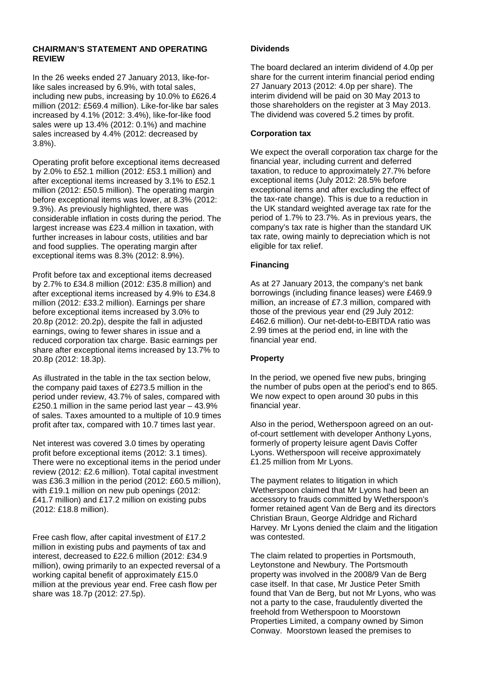# **CHAIRMAN'S STATEMENT AND OPERATING REVIEW**

In the 26 weeks ended 27 January 2013, like-forlike sales increased by 6.9%, with total sales, including new pubs, increasing by 10.0% to £626.4 million (2012: £569.4 million). Like-for-like bar sales increased by 4.1% (2012: 3.4%), like-for-like food sales were up 13.4% (2012: 0.1%) and machine sales increased by 4.4% (2012: decreased by 3.8%).

Operating profit before exceptional items decreased by 2.0% to £52.1 million (2012: £53.1 million) and after exceptional items increased by 3.1% to £52.1 million (2012: £50.5 million). The operating margin before exceptional items was lower, at 8.3% (2012: 9.3%). As previously highlighted, there was considerable inflation in costs during the period. The largest increase was £23.4 million in taxation, with further increases in labour costs, utilities and bar and food supplies. The operating margin after exceptional items was 8.3% (2012: 8.9%).

Profit before tax and exceptional items decreased by 2.7% to £34.8 million (2012: £35.8 million) and after exceptional items increased by 4.9% to £34.8 million (2012: £33.2 million). Earnings per share before exceptional items increased by 3.0% to 20.8p (2012: 20.2p), despite the fall in adjusted earnings, owing to fewer shares in issue and a reduced corporation tax charge. Basic earnings per share after exceptional items increased by 13.7% to 20.8p (2012: 18.3p).

As illustrated in the table in the tax section below, the company paid taxes of £273.5 million in the period under review, 43.7% of sales, compared with £250.1 million in the same period last year – 43.9% of sales. Taxes amounted to a multiple of 10.9 times profit after tax, compared with 10.7 times last year.

Net interest was covered 3.0 times by operating profit before exceptional items (2012: 3.1 times). There were no exceptional items in the period under review (2012: £2.6 million). Total capital investment was £36.3 million in the period (2012: £60.5 million), with £19.1 million on new pub openings (2012: £41.7 million) and £17.2 million on existing pubs (2012: £18.8 million).

Free cash flow, after capital investment of £17.2 million in existing pubs and payments of tax and interest, decreased to £22.6 million (2012: £34.9 million), owing primarily to an expected reversal of a working capital benefit of approximately £15.0 million at the previous year end. Free cash flow per share was 18.7p (2012: 27.5p).

# **Dividends**

The board declared an interim dividend of 4.0p per share for the current interim financial period ending 27 January 2013 (2012: 4.0p per share). The interim dividend will be paid on 30 May 2013 to those shareholders on the register at 3 May 2013. The dividend was covered 5.2 times by profit.

# **Corporation tax**

We expect the overall corporation tax charge for the financial year, including current and deferred taxation, to reduce to approximately 27.7% before exceptional items (July 2012: 28.5% before exceptional items and after excluding the effect of the tax-rate change). This is due to a reduction in the UK standard weighted average tax rate for the period of 1.7% to 23.7%. As in previous years, the company's tax rate is higher than the standard UK tax rate, owing mainly to depreciation which is not eligible for tax relief.

# **Financing**

As at 27 January 2013, the company's net bank borrowings (including finance leases) were £469.9 million, an increase of £7.3 million, compared with those of the previous year end (29 July 2012: £462.6 million). Our net-debt-to-EBITDA ratio was 2.99 times at the period end, in line with the financial year end.

# **Property**

In the period, we opened five new pubs, bringing the number of pubs open at the period's end to 865. We now expect to open around 30 pubs in this financial year.

Also in the period, Wetherspoon agreed on an outof-court settlement with developer Anthony Lyons, formerly of property leisure agent Davis Coffer Lyons. Wetherspoon will receive approximately £1.25 million from Mr Lyons.

The payment relates to litigation in which Wetherspoon claimed that Mr Lyons had been an accessory to frauds committed by Wetherspoon's former retained agent Van de Berg and its directors Christian Braun, George Aldridge and Richard Harvey. Mr Lyons denied the claim and the litigation was contested.

The claim related to properties in Portsmouth, Leytonstone and Newbury. The Portsmouth property was involved in the 2008/9 Van de Berg case itself. In that case, Mr Justice Peter Smith found that Van de Berg, but not Mr Lyons, who was not a party to the case, fraudulently diverted the freehold from Wetherspoon to Moorstown Properties Limited, a company owned by Simon Conway. Moorstown leased the premises to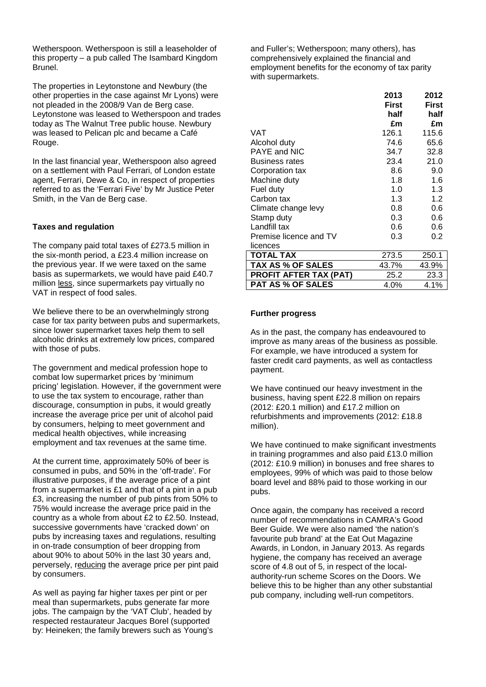Wetherspoon. Wetherspoon is still a leaseholder of this property – a pub called The Isambard Kingdom Brunel.

The properties in Leytonstone and Newbury (the other properties in the case against Mr Lyons) were not pleaded in the 2008/9 Van de Berg case. Leytonstone was leased to Wetherspoon and trades today as The Walnut Tree public house. Newbury was leased to Pelican plc and became a Café Rouge.

In the last financial year, Wetherspoon also agreed on a settlement with Paul Ferrari, of London estate agent, Ferrari, Dewe & Co, in respect of properties referred to as the 'Ferrari Five' by Mr Justice Peter Smith, in the Van de Berg case.

# **Taxes and regulation**

The company paid total taxes of £273.5 million in the six-month period, a £23.4 million increase on the previous year. If we were taxed on the same basis as supermarkets, we would have paid £40.7 million less, since supermarkets pay virtually no VAT in respect of food sales.

We believe there to be an overwhelmingly strong case for tax parity between pubs and supermarkets, since lower supermarket taxes help them to sell alcoholic drinks at extremely low prices, compared with those of pubs.

The government and medical profession hope to combat low supermarket prices by 'minimum pricing' legislation. However, if the government were to use the tax system to encourage, rather than discourage, consumption in pubs, it would greatly increase the average price per unit of alcohol paid by consumers, helping to meet government and medical health objectives, while increasing employment and tax revenues at the same time.

At the current time, approximately 50% of beer is consumed in pubs, and 50% in the 'off-trade'. For illustrative purposes, if the average price of a pint from a supermarket is £1 and that of a pint in a pub £3, increasing the number of pub pints from 50% to 75% would increase the average price paid in the country as a whole from about £2 to £2.50. Instead, successive governments have 'cracked down' on pubs by increasing taxes and regulations, resulting in on-trade consumption of beer dropping from about 90% to about 50% in the last 30 years and, perversely, reducing the average price per pint paid by consumers.

As well as paying far higher taxes per pint or per meal than supermarkets, pubs generate far more jobs. The campaign by the 'VAT Club', headed by respected restaurateur Jacques Borel (supported by: Heineken; the family brewers such as Young's and Fuller's; Wetherspoon; many others), has comprehensively explained the financial and employment benefits for the economy of tax parity with supermarkets.

|                               | 2013  | 2012  |
|-------------------------------|-------|-------|
|                               | First | First |
|                               | half  | half  |
|                               | £m    | £m    |
| VAT                           | 126.1 | 115.6 |
| Alcohol duty                  | 74.6  | 65.6  |
| PAYE and NIC                  | 34.7  | 32.8  |
| <b>Business rates</b>         | 23.4  | 21.0  |
| Corporation tax               | 8.6   | 9.0   |
| Machine duty                  | 1.8   | 1.6   |
| Fuel duty                     | 1.0   | 1.3   |
| Carbon tax                    | 1.3   | 1.2   |
| Climate change levy           | 0.8   | 0.6   |
| Stamp duty                    | 0.3   | 0.6   |
| Landfill tax                  | 0.6   | 0.6   |
| Premise licence and TV        | 0.3   | 0.2   |
| licences                      |       |       |
| <b>TOTAL TAX</b>              | 273.5 | 250.1 |
| <b>TAX AS % OF SALES</b>      | 43.7% | 43.9% |
| <b>PROFIT AFTER TAX (PAT)</b> | 25.2  | 23.3  |
| <b>PAT AS % OF SALES</b>      | 4.0%  | 4.1%  |

#### **Further progress**

As in the past, the company has endeavoured to improve as many areas of the business as possible. For example, we have introduced a system for faster credit card payments, as well as contactless payment.

We have continued our heavy investment in the business, having spent £22.8 million on repairs (2012: £20.1 million) and £17.2 million on refurbishments and improvements (2012: £18.8 million).

We have continued to make significant investments in training programmes and also paid £13.0 million (2012: £10.9 million) in bonuses and free shares to employees, 99% of which was paid to those below board level and 88% paid to those working in our pubs.

Once again, the company has received a record number of recommendations in CAMRA's Good Beer Guide. We were also named 'the nation's favourite pub brand' at the Eat Out Magazine Awards, in London, in January 2013. As regards hygiene, the company has received an average score of 4.8 out of 5, in respect of the localauthority-run scheme Scores on the Doors. We believe this to be higher than any other substantial pub company, including well-run competitors.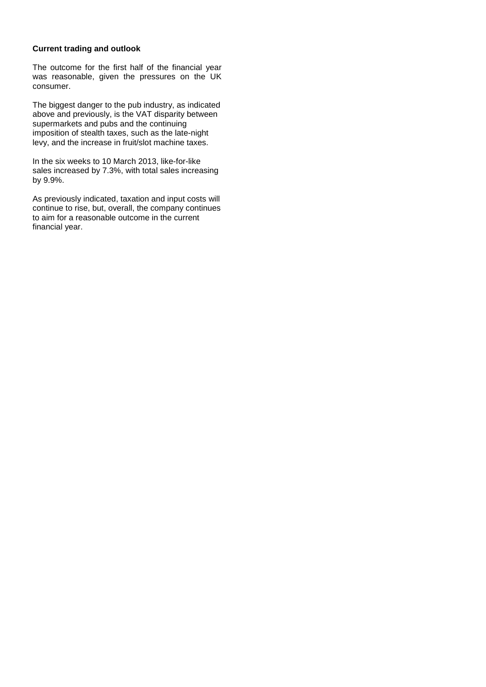# **Current trading and outlook**

The outcome for the first half of the financial year was reasonable, given the pressures on the UK consumer.

The biggest danger to the pub industry, as indicated above and previously, is the VAT disparity between supermarkets and pubs and the continuing imposition of stealth taxes, such as the late-night levy, and the increase in fruit/slot machine taxes.

In the six weeks to 10 March 2013, like-for-like sales increased by 7.3%, with total sales increasing by 9.9%.

As previously indicated, taxation and input costs will continue to rise, but, overall, the company continues to aim for a reasonable outcome in the current financial year.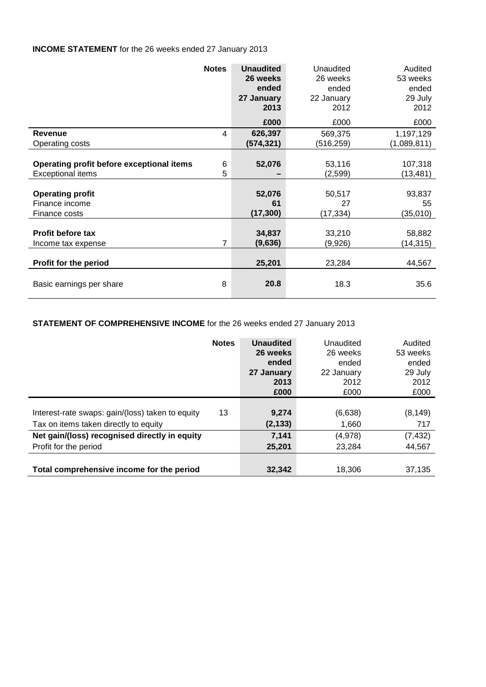# **INCOME STATEMENT** for the 26 weeks ended 27 January 2013

|                                           | <b>Notes</b>   | <b>Unaudited</b><br>26 weeks<br>ended<br>27 January<br>2013 | Unaudited<br>26 weeks<br>ended<br>22 January<br>2012 | Audited<br>53 weeks<br>ended<br>29 July<br>2012 |
|-------------------------------------------|----------------|-------------------------------------------------------------|------------------------------------------------------|-------------------------------------------------|
|                                           |                | £000                                                        | £000                                                 | £000                                            |
| Revenue                                   | 4              | 626,397                                                     | 569,375                                              | 1,197,129                                       |
| Operating costs                           |                | (574, 321)                                                  | (516, 259)                                           | (1,089,811)                                     |
| Operating profit before exceptional items | 6              | 52,076                                                      | 53,116                                               | 107,318                                         |
| <b>Exceptional items</b>                  | 5              |                                                             | (2,599)                                              | (13,481)                                        |
| <b>Operating profit</b>                   |                | 52,076                                                      | 50,517                                               | 93,837                                          |
| Finance income                            |                | 61                                                          | 27                                                   | 55                                              |
| Finance costs                             |                | (17, 300)                                                   | (17, 334)                                            | (35,010)                                        |
| <b>Profit before tax</b>                  | $\overline{7}$ | 34,837                                                      | 33,210                                               | 58,882                                          |
| Income tax expense                        |                | (9,636)                                                     | (9,926)                                              | (14,315)                                        |
| Profit for the period                     |                | 25,201                                                      | 23,284                                               | 44,567                                          |
| Basic earnings per share                  | 8              | 20.8                                                        | 18.3                                                 | 35.6                                            |

# **STATEMENT OF COMPREHENSIVE INCOME** for the 26 weeks ended 27 January 2013

|                                                  | <b>Notes</b> | <b>Unaudited</b><br>26 weeks<br>ended<br>27 January<br>2013<br>£000 | Unaudited<br>26 weeks<br>ended<br>22 January<br>2012<br>£000 | Audited<br>53 weeks<br>ended<br>29 July<br>2012<br>£000 |
|--------------------------------------------------|--------------|---------------------------------------------------------------------|--------------------------------------------------------------|---------------------------------------------------------|
| Interest-rate swaps: gain/(loss) taken to equity | 13           | 9,274                                                               | (6,638)                                                      | (8, 149)                                                |
| Tax on items taken directly to equity            |              | (2, 133)                                                            | 1,660                                                        | 717                                                     |
| Net gain/(loss) recognised directly in equity    |              | 7,141                                                               | (4,978)                                                      | (7, 432)                                                |
| Profit for the period                            |              | 25,201                                                              | 23.284                                                       | 44,567                                                  |
| Total comprehensive income for the period        |              | 32,342                                                              | 18,306                                                       | 37,135                                                  |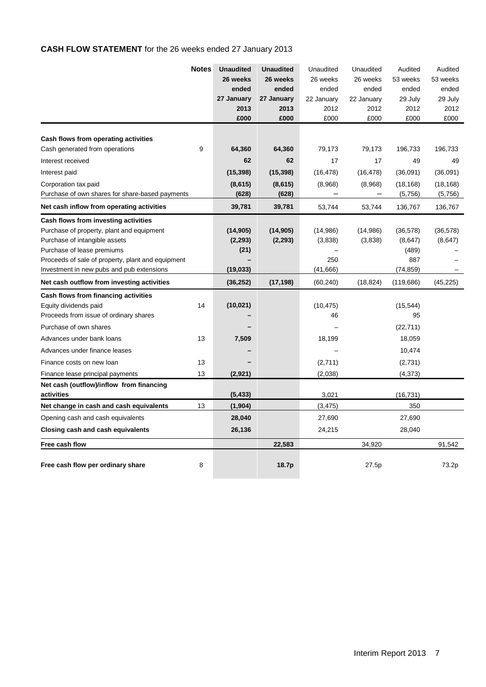# **CASH FLOW STATEMENT** for the 26 weeks ended 27 January 2013

|                                                   | <b>Notes</b> | <b>Unaudited</b> | <b>Unaudited</b> | Unaudited  | Unaudited                | Audited    | Audited   |
|---------------------------------------------------|--------------|------------------|------------------|------------|--------------------------|------------|-----------|
|                                                   |              | 26 weeks         | 26 weeks         | 26 weeks   | 26 weeks                 | 53 weeks   | 53 weeks  |
|                                                   |              | ended            | ended            | ended      | ended                    | ended      | ended     |
|                                                   |              | 27 January       | 27 January       | 22 January | 22 January               | 29 July    | 29 July   |
|                                                   |              | 2013             | 2013             | 2012       | 2012                     | 2012       | 2012      |
|                                                   |              | £000             | £000             | £000       | £000                     | £000       | £000      |
| Cash flows from operating activities              |              |                  |                  |            |                          |            |           |
| Cash generated from operations                    | 9            | 64,360           | 64,360           | 79,173     | 79,173                   | 196,733    | 196.733   |
| Interest received                                 |              | 62               | 62               | 17         | 17                       | 49         | 49        |
| Interest paid                                     |              | (15, 398)        | (15, 398)        | (16, 478)  | (16, 478)                | (36,091)   | (36,091)  |
| Corporation tax paid                              |              | (8,615)          | (8,615)          | (8,968)    | (8,968)                  | (18, 168)  | (18, 168) |
| Purchase of own shares for share-based payments   |              | (628)            | (628)            |            | $\overline{\phantom{m}}$ | (5,756)    | (5,756)   |
| Net cash inflow from operating activities         |              | 39,781           | 39,781           | 53,744     | 53,744                   | 136,767    | 136,767   |
| Cash flows from investing activities              |              |                  |                  |            |                          |            |           |
| Purchase of property, plant and equipment         |              | (14, 905)        | (14, 905)        | (14, 986)  | (14,986)                 | (36, 578)  | (36, 578) |
| Purchase of intangible assets                     |              | (2, 293)         | (2, 293)         | (3,838)    | (3,838)                  | (8,647)    | (8,647)   |
| Purchase of lease premiums                        |              | (21)             |                  |            |                          | (489)      |           |
| Proceeds of sale of property, plant and equipment |              |                  |                  | 250        |                          | 887        |           |
| Investment in new pubs and pub extensions         |              | (19, 033)        |                  | (41, 666)  |                          | (74, 859)  |           |
| Net cash outflow from investing activities        |              | (36, 252)        | (17, 198)        | (60, 240)  | (18, 824)                | (119, 686) | (45, 225) |
| Cash flows from financing activities              |              |                  |                  |            |                          |            |           |
| Equity dividends paid                             | 14           | (10, 021)        |                  | (10, 475)  |                          | (15, 544)  |           |
| Proceeds from issue of ordinary shares            |              |                  |                  | 46         |                          | 95         |           |
| Purchase of own shares                            |              |                  |                  |            |                          | (22, 711)  |           |
| Advances under bank loans                         | 13           | 7,509            |                  | 18,199     |                          | 18,059     |           |
| Advances under finance leases                     |              |                  |                  |            |                          | 10,474     |           |
| Finance costs on new loan                         | 13           |                  |                  | (2,711)    |                          | (2,731)    |           |
| Finance lease principal payments                  | 13           | (2,921)          |                  | (2,038)    |                          | (4,373)    |           |
| Net cash (outflow)/inflow from financing          |              |                  |                  |            |                          |            |           |
| activities                                        |              | (5, 433)         |                  | 3,021      |                          | (16,731)   |           |
| Net change in cash and cash equivalents           | 13           | (1,904)          |                  | (3, 475)   |                          | 350        |           |
| Opening cash and cash equivalents                 |              | 28,040           |                  | 27,690     |                          | 27,690     |           |
| Closing cash and cash equivalents                 |              | 26,136           |                  | 24,215     |                          | 28,040     |           |
| Free cash flow                                    |              |                  | 22,583           |            | 34,920                   |            | 91,542    |
| Free cash flow per ordinary share                 | 8            |                  | 18.7p            |            | 27.5p                    |            | 73.2p     |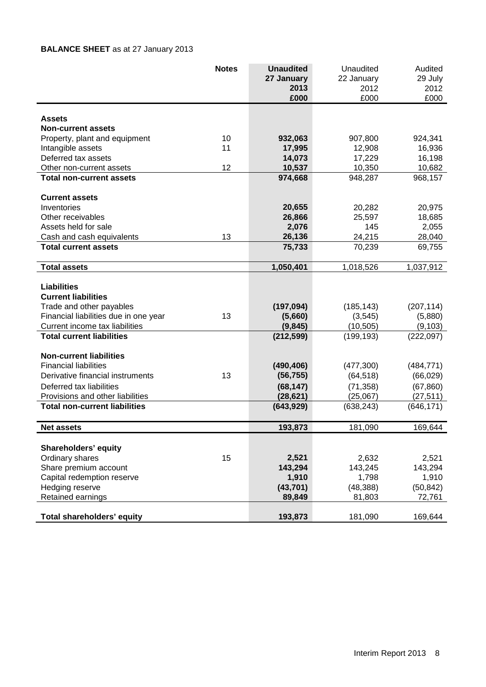# **BALANCE SHEET** as at 27 January 2013

|                                                    | <b>Notes</b> | <b>Unaudited</b>  | Unaudited         | Audited           |
|----------------------------------------------------|--------------|-------------------|-------------------|-------------------|
|                                                    |              | 27 January        | 22 January        | 29 July           |
|                                                    |              | 2013              | 2012              | 2012              |
|                                                    |              | £000              | £000              | £000              |
|                                                    |              |                   |                   |                   |
| Assets                                             |              |                   |                   |                   |
| <b>Non-current assets</b>                          | 10           |                   |                   |                   |
| Property, plant and equipment<br>Intangible assets | 11           | 932,063<br>17,995 | 907,800<br>12,908 | 924,341<br>16,936 |
| Deferred tax assets                                |              | 14,073            | 17,229            | 16,198            |
| Other non-current assets                           | 12           | 10,537            | 10,350            | 10,682            |
| <b>Total non-current assets</b>                    |              | 974,668           | 948,287           | 968,157           |
|                                                    |              |                   |                   |                   |
| <b>Current assets</b>                              |              |                   |                   |                   |
| Inventories                                        |              | 20,655            | 20,282            | 20,975            |
| Other receivables                                  |              | 26,866            | 25,597            | 18,685            |
| Assets held for sale                               |              | 2,076             | 145               | 2,055             |
| Cash and cash equivalents                          | 13           | 26,136            | 24,215            | 28,040            |
| <b>Total current assets</b>                        |              | 75,733            | 70,239            | 69,755            |
| <b>Total assets</b>                                |              | 1,050,401         | 1,018,526         | 1,037,912         |
|                                                    |              |                   |                   |                   |
| <b>Liabilities</b>                                 |              |                   |                   |                   |
| <b>Current liabilities</b>                         |              |                   |                   |                   |
| Trade and other payables                           |              | (197, 094)        | (185, 143)        | (207, 114)        |
| Financial liabilities due in one year              | 13           | (5,660)           | (3, 545)          | (5,880)           |
| Current income tax liabilities                     |              | (9, 845)          | (10, 505)         | (9, 103)          |
| <b>Total current liabilities</b>                   |              | (212, 599)        | (199, 193)        | (222,097)         |
| <b>Non-current liabilities</b>                     |              |                   |                   |                   |
| <b>Financial liabilities</b>                       |              | (490, 406)        | (477, 300)        | (484, 771)        |
| Derivative financial instruments                   | 13           | (56, 755)         | (64, 518)         | (66, 029)         |
| Deferred tax liabilities                           |              | (68, 147)         | (71, 358)         | (67, 860)         |
| Provisions and other liabilities                   |              | (28, 621)         | (25,067)          | (27, 511)         |
| <b>Total non-current liabilities</b>               |              | (643, 929)        | (638, 243)        | (646, 171)        |
| <b>Net assets</b>                                  |              | 193.873           |                   |                   |
|                                                    |              |                   | 181,090           | 169,644           |
| Shareholders' equity                               |              |                   |                   |                   |
| Ordinary shares                                    | 15           | 2,521             | 2,632             | 2,521             |
| Share premium account                              |              | 143,294           | 143,245           | 143,294           |
| Capital redemption reserve                         |              | 1,910             | 1,798             | 1,910             |
| Hedging reserve                                    |              | (43, 701)         | (48, 388)         | (50, 842)         |
| Retained earnings                                  |              | 89,849            | 81,803            | 72,761            |
|                                                    |              |                   |                   |                   |
| Total shareholders' equity                         |              | 193,873           | 181,090           | 169,644           |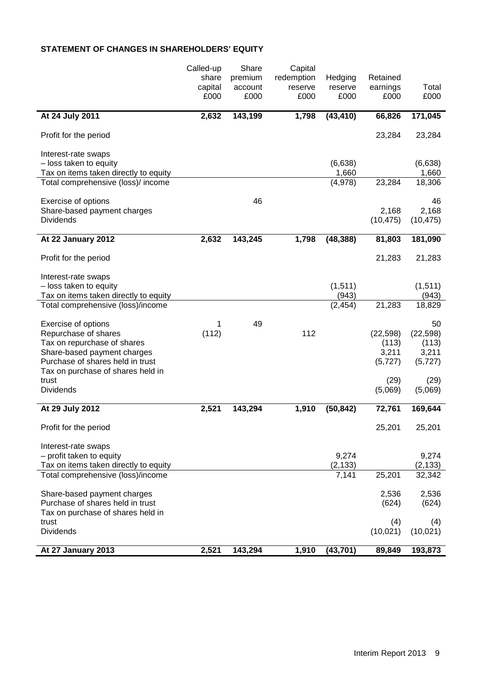# **STATEMENT OF CHANGES IN SHAREHOLDERS' EQUITY**

|                                                                             | Called-up | Share   | Capital    |                  |                 |                 |
|-----------------------------------------------------------------------------|-----------|---------|------------|------------------|-----------------|-----------------|
|                                                                             | share     | premium | redemption | Hedging          | Retained        |                 |
|                                                                             | capital   | account | reserve    | reserve          | earnings        | Total           |
|                                                                             | £000      | £000    | £000       | £000             | £000            | £000            |
| At 24 July 2011                                                             | 2,632     | 143,199 | 1,798      | (43, 410)        | 66,826          | 171,045         |
| Profit for the period                                                       |           |         |            |                  | 23,284          | 23,284          |
| Interest-rate swaps                                                         |           |         |            |                  |                 |                 |
| - loss taken to equity                                                      |           |         |            | (6,638)          |                 | (6,638)         |
| Tax on items taken directly to equity<br>Total comprehensive (loss)/ income |           |         |            | 1,660<br>(4,978) | 23,284          | 1,660<br>18,306 |
|                                                                             |           |         |            |                  |                 |                 |
| Exercise of options                                                         |           | 46      |            |                  |                 | 46              |
| Share-based payment charges                                                 |           |         |            |                  | 2,168           | 2,168           |
| <b>Dividends</b>                                                            |           |         |            |                  | (10, 475)       | (10, 475)       |
| At 22 January 2012                                                          | 2,632     | 143,245 | 1,798      | (48, 388)        | 81,803          | 181,090         |
| Profit for the period                                                       |           |         |            |                  | 21,283          | 21,283          |
| Interest-rate swaps                                                         |           |         |            |                  |                 |                 |
| - loss taken to equity                                                      |           |         |            | (1, 511)         |                 | (1,511)         |
| Tax on items taken directly to equity                                       |           |         |            | (943)            |                 | (943)           |
| Total comprehensive (loss)/income                                           |           |         |            | (2, 454)         | 21,283          | 18,829          |
| Exercise of options                                                         | 1         | 49      |            |                  |                 | 50              |
| Repurchase of shares                                                        | (112)     |         | 112        |                  | (22, 598)       | (22, 598)       |
| Tax on repurchase of shares                                                 |           |         |            |                  | (113)           | (113)           |
| Share-based payment charges                                                 |           |         |            |                  | 3,211           | 3,211           |
| Purchase of shares held in trust                                            |           |         |            |                  | (5, 727)        | (5, 727)        |
| Tax on purchase of shares held in                                           |           |         |            |                  |                 |                 |
| trust<br>Dividends                                                          |           |         |            |                  | (29)<br>(5,069) | (29)<br>(5,069) |
|                                                                             |           |         |            |                  |                 |                 |
| At 29 July 2012                                                             | 2,521     | 143,294 | 1,910      | (50, 842)        | 72,761          | 169,644         |
| Profit for the period                                                       |           |         |            |                  | 25,201          | 25,201          |
| Interest-rate swaps                                                         |           |         |            |                  |                 |                 |
| - profit taken to equity                                                    |           |         |            | 9,274            |                 | 9,274           |
| Tax on items taken directly to equity                                       |           |         |            | (2, 133)         |                 | (2, 133)        |
| Total comprehensive (loss)/income                                           |           |         |            | 7,141            | 25,201          | 32,342          |
| Share-based payment charges                                                 |           |         |            |                  | 2,536           | 2,536           |
| Purchase of shares held in trust                                            |           |         |            |                  | (624)           | (624)           |
| Tax on purchase of shares held in                                           |           |         |            |                  |                 |                 |
| trust                                                                       |           |         |            |                  | (4)             | (4)             |
| <b>Dividends</b>                                                            |           |         |            |                  | (10, 021)       | (10, 021)       |
| At 27 January 2013                                                          | 2,521     | 143,294 | 1,910      | (43, 701)        | 89,849          | 193,873         |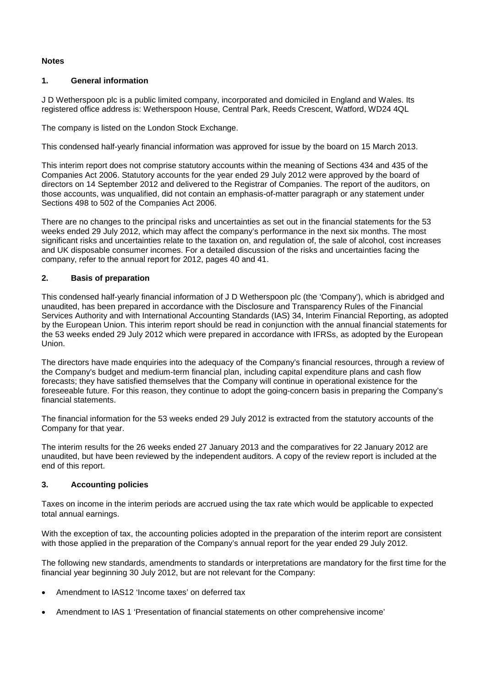# **Notes**

# **1. General information**

J D Wetherspoon plc is a public limited company, incorporated and domiciled in England and Wales. Its registered office address is: Wetherspoon House, Central Park, Reeds Crescent, Watford, WD24 4QL

The company is listed on the London Stock Exchange.

This condensed half-yearly financial information was approved for issue by the board on 15 March 2013.

This interim report does not comprise statutory accounts within the meaning of Sections 434 and 435 of the Companies Act 2006. Statutory accounts for the year ended 29 July 2012 were approved by the board of directors on 14 September 2012 and delivered to the Registrar of Companies. The report of the auditors, on those accounts, was unqualified, did not contain an emphasis-of-matter paragraph or any statement under Sections 498 to 502 of the Companies Act 2006.

There are no changes to the principal risks and uncertainties as set out in the financial statements for the 53 weeks ended 29 July 2012, which may affect the company's performance in the next six months. The most significant risks and uncertainties relate to the taxation on, and regulation of, the sale of alcohol, cost increases and UK disposable consumer incomes. For a detailed discussion of the risks and uncertainties facing the company, refer to the annual report for 2012, pages 40 and 41.

# **2. Basis of preparation**

This condensed half-yearly financial information of J D Wetherspoon plc (the 'Company'), which is abridged and unaudited, has been prepared in accordance with the Disclosure and Transparency Rules of the Financial Services Authority and with International Accounting Standards (IAS) 34, Interim Financial Reporting, as adopted by the European Union. This interim report should be read in conjunction with the annual financial statements for the 53 weeks ended 29 July 2012 which were prepared in accordance with IFRSs, as adopted by the European Union.

The directors have made enquiries into the adequacy of the Company's financial resources, through a review of the Company's budget and medium-term financial plan, including capital expenditure plans and cash flow forecasts; they have satisfied themselves that the Company will continue in operational existence for the foreseeable future. For this reason, they continue to adopt the going-concern basis in preparing the Company's financial statements.

The financial information for the 53 weeks ended 29 July 2012 is extracted from the statutory accounts of the Company for that year.

The interim results for the 26 weeks ended 27 January 2013 and the comparatives for 22 January 2012 are unaudited, but have been reviewed by the independent auditors. A copy of the review report is included at the end of this report.

# **3. Accounting policies**

Taxes on income in the interim periods are accrued using the tax rate which would be applicable to expected total annual earnings.

With the exception of tax, the accounting policies adopted in the preparation of the interim report are consistent with those applied in the preparation of the Company's annual report for the year ended 29 July 2012.

The following new standards, amendments to standards or interpretations are mandatory for the first time for the financial year beginning 30 July 2012, but are not relevant for the Company:

- Amendment to IAS12 'Income taxes' on deferred tax
- Amendment to IAS 1 'Presentation of financial statements on other comprehensive income'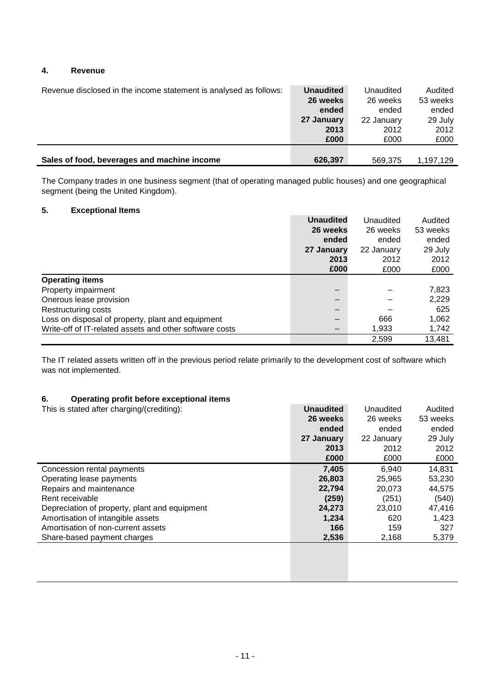# **4. Revenue**

| Revenue disclosed in the income statement is analysed as follows: | <b>Unaudited</b> | Unaudited  | Audited   |
|-------------------------------------------------------------------|------------------|------------|-----------|
|                                                                   | 26 weeks         | 26 weeks   | 53 weeks  |
|                                                                   | ended            | ended      | ended     |
|                                                                   | 27 January       | 22 January | 29 July   |
|                                                                   | 2013             | 2012       | 2012      |
|                                                                   | £000             | £000       | £000      |
|                                                                   |                  |            |           |
| Sales of food, beverages and machine income                       | 626,397          | 569,375    | 1,197,129 |

The Company trades in one business segment (that of operating managed public houses) and one geographical segment (being the United Kingdom).

# **5. Exceptional Items**

|                                                         | <b>Unaudited</b> | Unaudited  | Audited  |
|---------------------------------------------------------|------------------|------------|----------|
|                                                         | 26 weeks         | 26 weeks   | 53 weeks |
|                                                         | ended            | ended      | ended    |
|                                                         | 27 January       | 22 January | 29 July  |
|                                                         | 2013             | 2012       | 2012     |
|                                                         | £000             | £000       | £000     |
| <b>Operating items</b>                                  |                  |            |          |
| Property impairment                                     |                  |            | 7,823    |
| Onerous lease provision                                 |                  |            | 2,229    |
| Restructuring costs                                     |                  |            | 625      |
| Loss on disposal of property, plant and equipment       |                  | 666        | 1,062    |
| Write-off of IT-related assets and other software costs |                  | 1,933      | 1,742    |
|                                                         |                  | 2,599      | 13,481   |

The IT related assets written off in the previous period relate primarily to the development cost of software which was not implemented.

# **6. Operating profit before exceptional items**

| This is stated after charging/(crediting):    | <b>Unaudited</b> | Unaudited  | Audited  |
|-----------------------------------------------|------------------|------------|----------|
|                                               | 26 weeks         | 26 weeks   | 53 weeks |
|                                               | ended            | ended      | ended    |
|                                               | 27 January       | 22 January | 29 July  |
|                                               | 2013             | 2012       | 2012     |
|                                               | £000             | £000       | £000     |
| Concession rental payments                    | 7.405            | 6.940      | 14,831   |
| Operating lease payments                      | 26,803           | 25.965     | 53,230   |
| Repairs and maintenance                       | 22,794           | 20.073     | 44,575   |
| Rent receivable                               | (259)            | (251)      | (540)    |
| Depreciation of property, plant and equipment | 24,273           | 23.010     | 47,416   |
| Amortisation of intangible assets             | 1,234            | 620        | 1,423    |
| Amortisation of non-current assets            | 166              | 159        | 327      |
| Share-based payment charges                   | 2,536            | 2,168      | 5,379    |
|                                               |                  |            |          |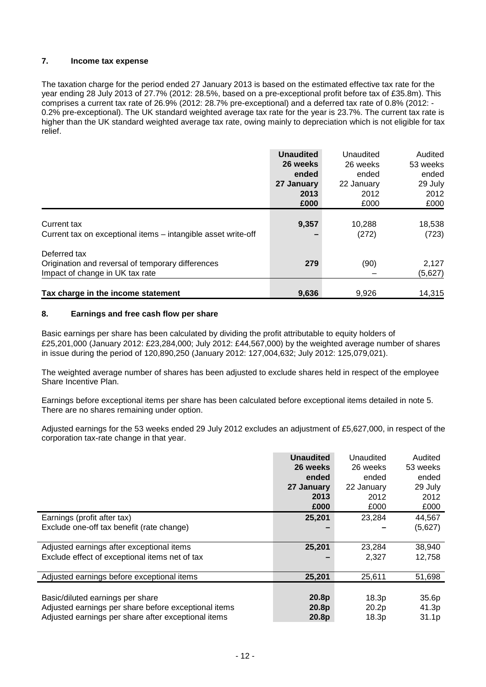# **7. Income tax expense**

The taxation charge for the period ended 27 January 2013 is based on the estimated effective tax rate for the year ending 28 July 2013 of 27.7% (2012: 28.5%, based on a pre-exceptional profit before tax of £35.8m). This comprises a current tax rate of 26.9% (2012: 28.7% pre-exceptional) and a deferred tax rate of 0.8% (2012: - 0.2% pre-exceptional). The UK standard weighted average tax rate for the year is 23.7%. The current tax rate is higher than the UK standard weighted average tax rate, owing mainly to depreciation which is not eligible for tax relief.

|                                                               | <b>Unaudited</b> | Unaudited  | Audited  |
|---------------------------------------------------------------|------------------|------------|----------|
|                                                               | 26 weeks         | 26 weeks   | 53 weeks |
|                                                               | ended            | ended      | ended    |
|                                                               | 27 January       | 22 January | 29 July  |
|                                                               | 2013             | 2012       | 2012     |
|                                                               | £000             | £000       | £000     |
|                                                               |                  |            |          |
| Current tax                                                   | 9,357            | 10,288     | 18,538   |
| Current tax on exceptional items - intangible asset write-off |                  | (272)      | (723)    |
| Deferred tax                                                  |                  |            |          |
| Origination and reversal of temporary differences             | 279              | (90)       | 2,127    |
| Impact of change in UK tax rate                               |                  |            | (5,627)  |
|                                                               |                  |            |          |
| Tax charge in the income statement                            | 9,636            | 9,926      | 14,315   |

# **8. Earnings and free cash flow per share**

Basic earnings per share has been calculated by dividing the profit attributable to equity holders of £25,201,000 (January 2012: £23,284,000; July 2012: £44,567,000) by the weighted average number of shares in issue during the period of 120,890,250 (January 2012: 127,004,632; July 2012: 125,079,021).

The weighted average number of shares has been adjusted to exclude shares held in respect of the employee Share Incentive Plan.

Earnings before exceptional items per share has been calculated before exceptional items detailed in note 5. There are no shares remaining under option.

Adjusted earnings for the 53 weeks ended 29 July 2012 excludes an adjustment of £5,627,000, in respect of the corporation tax-rate change in that year.

|                                                      | <b>Unaudited</b><br>26 weeks | Unaudited<br>26 weeks | Audited<br>53 weeks |
|------------------------------------------------------|------------------------------|-----------------------|---------------------|
|                                                      | ended                        | ended                 | ended               |
|                                                      | 27 January                   | 22 January            | 29 July             |
|                                                      | 2013                         | 2012                  | 2012                |
|                                                      | £000                         | £000                  | £000                |
| Earnings (profit after tax)                          | 25,201                       | 23,284                | 44,567              |
| Exclude one-off tax benefit (rate change)            |                              |                       | (5,627)             |
|                                                      |                              |                       |                     |
| Adjusted earnings after exceptional items            | 25,201                       | 23,284                | 38,940              |
| Exclude effect of exceptional items net of tax       |                              | 2.327                 | 12,758              |
|                                                      |                              |                       |                     |
| Adjusted earnings before exceptional items           | 25,201                       | 25,611                | 51,698              |
|                                                      |                              |                       |                     |
| Basic/diluted earnings per share                     | 20.8p                        | 18.3p                 | 35.6p               |
| Adjusted earnings per share before exceptional items | 20.8p                        | 20.2p                 | 41.3p               |
| Adjusted earnings per share after exceptional items  | 20.8p                        | 18.3p                 | 31.1 <sub>p</sub>   |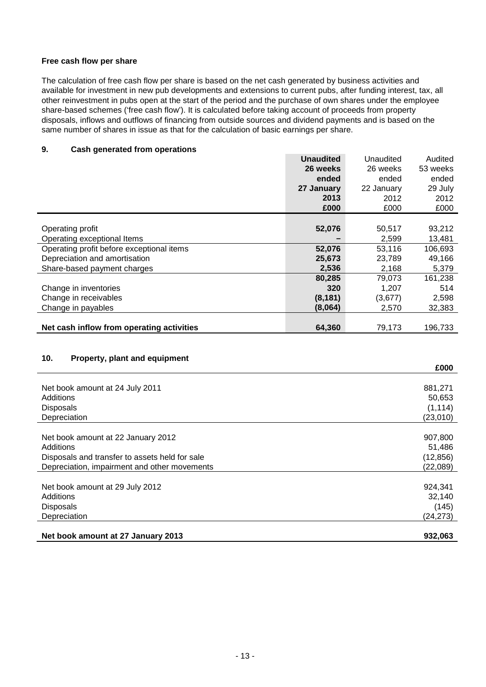# **Free cash flow per share**

The calculation of free cash flow per share is based on the net cash generated by business activities and available for investment in new pub developments and extensions to current pubs, after funding interest, tax, all other reinvestment in pubs open at the start of the period and the purchase of own shares under the employee share-based schemes ('free cash flow'). It is calculated before taking account of proceeds from property disposals, inflows and outflows of financing from outside sources and dividend payments and is based on the same number of shares in issue as that for the calculation of basic earnings per share.

# **9. Cash generated from operations**

|                                           | <b>Unaudited</b> | Unaudited  | Audited  |
|-------------------------------------------|------------------|------------|----------|
|                                           | 26 weeks         | 26 weeks   | 53 weeks |
|                                           | ended            | ended      | ended    |
|                                           | 27 January       | 22 January | 29 July  |
|                                           | 2013             | 2012       | 2012     |
|                                           | £000             | £000       | £000     |
|                                           |                  |            |          |
| Operating profit                          | 52,076           | 50,517     | 93,212   |
| Operating exceptional Items               |                  | 2,599      | 13,481   |
| Operating profit before exceptional items | 52,076           | 53,116     | 106,693  |
| Depreciation and amortisation             | 25,673           | 23.789     | 49,166   |
| Share-based payment charges               | 2,536            | 2,168      | 5,379    |
|                                           | 80,285           | 79.073     | 161,238  |
| Change in inventories                     | 320              | 1,207      | 514      |
| Change in receivables                     | (8, 181)         | (3,677)    | 2,598    |
| Change in payables                        | (8,064)          | 2,570      | 32,383   |
|                                           |                  |            |          |
| Net cash inflow from operating activities | 64,360           | 79,173     | 196,733  |

# **10. Property, plant and equipment**

|                                                | £000      |
|------------------------------------------------|-----------|
|                                                |           |
| Net book amount at 24 July 2011                | 881,271   |
| Additions                                      | 50,653    |
| <b>Disposals</b>                               | (1, 114)  |
| Depreciation                                   | (23,010)  |
|                                                |           |
| Net book amount at 22 January 2012             | 907,800   |
| Additions                                      | 51,486    |
| Disposals and transfer to assets held for sale | (12, 856) |
| Depreciation, impairment and other movements   | (22,089)  |
|                                                |           |
| Net book amount at 29 July 2012                | 924,341   |
| Additions                                      | 32,140    |
| <b>Disposals</b>                               | (145)     |
| Depreciation                                   | (24, 273) |
|                                                |           |
| Net book amount at 27 January 2013             | 932,063   |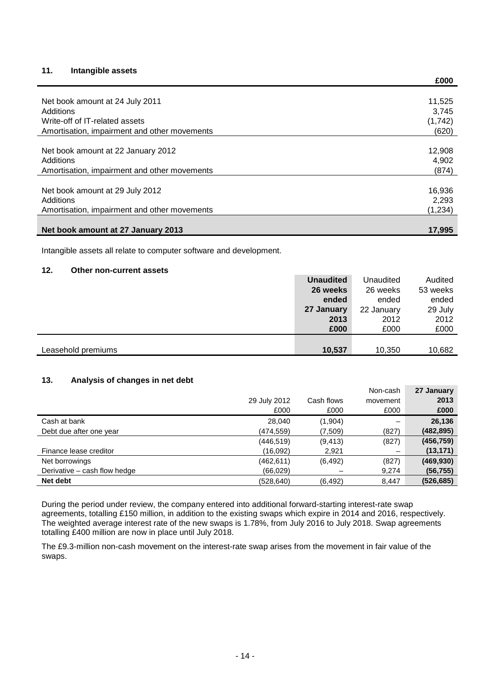# **11. Intangible assets**

|                                              | LUUU    |
|----------------------------------------------|---------|
|                                              |         |
| Net book amount at 24 July 2011              | 11,525  |
| Additions                                    | 3,745   |
| Write-off of IT-related assets               | (1,742) |
| Amortisation, impairment and other movements | (620)   |
|                                              |         |
| Net book amount at 22 January 2012           | 12,908  |
| Additions                                    | 4,902   |
| Amortisation, impairment and other movements | (874)   |
|                                              |         |
| Net book amount at 29 July 2012              | 16,936  |
| Additions                                    | 2,293   |
| Amortisation, impairment and other movements | (1,234) |
|                                              |         |
| Net book amount at 27 January 2013           | 17.995  |

**£000**

Intangible assets all relate to computer software and development.

#### **12. Other non-current assets**

|                    | <b>Unaudited</b> | Unaudited  | Audited  |
|--------------------|------------------|------------|----------|
|                    | 26 weeks         | 26 weeks   | 53 weeks |
|                    | ended            | ended      | ended    |
|                    | 27 January       | 22 January | 29 July  |
|                    | 2013             | 2012       | 2012     |
|                    | £000             | £000       | £000     |
|                    |                  |            |          |
| Leasehold premiums | 10,537           | 10,350     | 10,682   |
|                    |                  |            |          |

# **13. Analysis of changes in net debt**

|                              |              |            | Non-cash | 27 January |
|------------------------------|--------------|------------|----------|------------|
|                              | 29 July 2012 | Cash flows | movement | 2013       |
|                              | £000         | £000       | £000     | £000       |
| Cash at bank                 | 28.040       | (1,904)    |          | 26,136     |
| Debt due after one year      | (474,559)    | (7.509)    | (827)    | (482,895)  |
|                              | (446, 519)   | (9, 413)   | (827)    | (456, 759) |
| Finance lease creditor       | (16,092)     | 2,921      | —        | (13, 171)  |
| Net borrowings               | (462, 611)   | (6, 492)   | (827)    | (469, 930) |
| Derivative – cash flow hedge | (66, 029)    |            | 9,274    | (56, 755)  |
| Net debt                     | (528,640)    | (6, 492)   | 8.447    | (526, 685) |

During the period under review, the company entered into additional forward-starting interest-rate swap agreements, totalling £150 million, in addition to the existing swaps which expire in 2014 and 2016, respectively. The weighted average interest rate of the new swaps is 1.78%, from July 2016 to July 2018. Swap agreements totalling £400 million are now in place until July 2018.

The £9.3-million non-cash movement on the interest-rate swap arises from the movement in fair value of the swaps.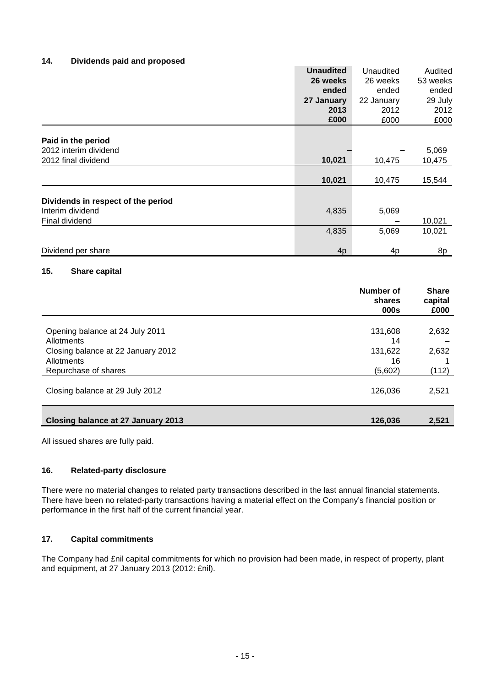# **14. Dividends paid and proposed**

|                                    | <b>Unaudited</b> | Unaudited                  | Audited                 |
|------------------------------------|------------------|----------------------------|-------------------------|
|                                    | 26 weeks         | 26 weeks                   | 53 weeks                |
|                                    | ended            | ended                      | ended                   |
|                                    | 27 January       | 22 January                 | 29 July                 |
|                                    | 2013             | 2012                       | 2012                    |
|                                    | £000             | £000                       | £000                    |
| Paid in the period                 |                  |                            |                         |
| 2012 interim dividend              |                  |                            | 5,069                   |
| 2012 final dividend                | 10,021           | 10,475                     | 10,475                  |
|                                    |                  |                            |                         |
|                                    | 10,021           | 10,475                     | 15,544                  |
| Dividends in respect of the period |                  |                            |                         |
| Interim dividend                   | 4,835            | 5,069                      |                         |
| Final dividend                     |                  |                            | 10,021                  |
|                                    | 4,835            | 5,069                      | 10,021                  |
| Dividend per share                 | 4 <sub>p</sub>   | 4p                         | 8p                      |
| 15.<br>Share capital               |                  |                            |                         |
|                                    |                  | <b>Number of</b><br>shares | <b>Share</b><br>capital |

|                                    | <b>000s</b> | £000  |
|------------------------------------|-------------|-------|
|                                    |             |       |
| Opening balance at 24 July 2011    | 131,608     | 2,632 |
| Allotments                         | 14          |       |
| Closing balance at 22 January 2012 | 131,622     | 2,632 |
| Allotments                         | 16          |       |
| Repurchase of shares               | (5,602)     | (112) |
| Closing balance at 29 July 2012    | 126,036     | 2,521 |
| Closing balance at 27 January 2013 | 126,036     | 2,521 |

All issued shares are fully paid.

# **16. Related-party disclosure**

There were no material changes to related party transactions described in the last annual financial statements. There have been no related-party transactions having a material effect on the Company's financial position or performance in the first half of the current financial year.

# **17. Capital commitments**

The Company had £nil capital commitments for which no provision had been made, in respect of property, plant and equipment, at 27 January 2013 (2012: £nil).